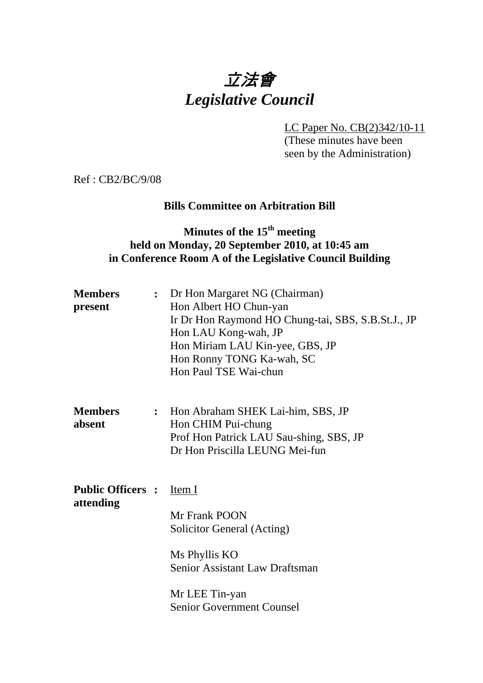# 立法會 *Legislative Council*

LC Paper No. CB(2)342/10-11

(These minutes have been seen by the Administration)

Ref : CB2/BC/9/08

## **Bills Committee on Arbitration Bill**

# **Minutes of the 15th meeting held on Monday, 20 September 2010, at 10:45 am in Conference Room A of the Legislative Council Building**

| <b>Members</b><br>present             | : Dr Hon Margaret NG (Chairman)<br>Hon Albert HO Chun-yan<br>Ir Dr Hon Raymond HO Chung-tai, SBS, S.B.St.J., JP<br>Hon LAU Kong-wah, JP<br>Hon Miriam LAU Kin-yee, GBS, JP<br>Hon Ronny TONG Ka-wah, SC<br>Hon Paul TSE Wai-chun |
|---------------------------------------|----------------------------------------------------------------------------------------------------------------------------------------------------------------------------------------------------------------------------------|
| <b>Members</b><br>absent              | : Hon Abraham SHEK Lai-him, SBS, JP<br>Hon CHIM Pui-chung<br>Prof Hon Patrick LAU Sau-shing, SBS, JP<br>Dr Hon Priscilla LEUNG Mei-fun                                                                                           |
| <b>Public Officers :</b><br>attending | Item I<br>Mr Frank POON<br>Solicitor General (Acting)<br>Ms Phyllis KO<br>Senior Assistant Law Draftsman<br>Mr LEE Tin-yan<br><b>Senior Government Counsel</b>                                                                   |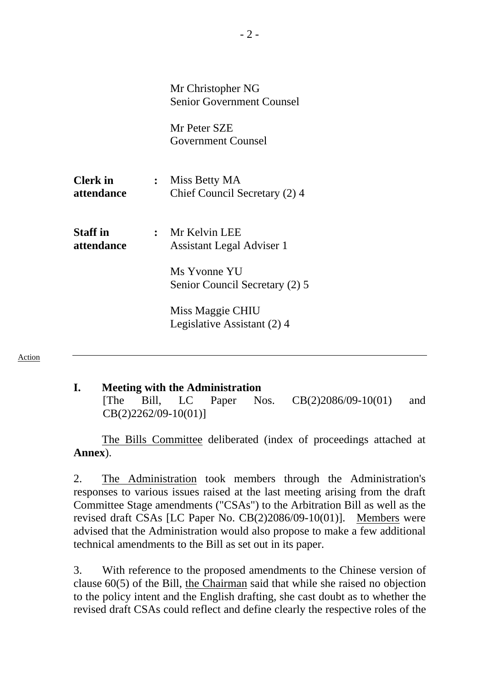|                               | Mr Christopher NG<br><b>Senior Government Counsel</b> |  |
|-------------------------------|-------------------------------------------------------|--|
|                               | Mr Peter SZE<br><b>Government Counsel</b>             |  |
| <b>Clerk</b> in<br>attendance | : Miss Betty MA<br>Chief Council Secretary (2) 4      |  |
| <b>Staff</b> in<br>attendance | : Mr Kelvin LEE<br>Assistant Legal Adviser 1          |  |
|                               | Ms Yvonne YU<br>Senior Council Secretary (2) 5        |  |
|                               | Miss Maggie CHIU<br>Legislative Assistant (2) 4       |  |

Action

#### **I. Meeting with the Administration**

[The Bill, LC Paper Nos. CB(2)2086/09-10(01) and CB(2)2262/09-10(01)]

The Bills Committee deliberated (index of proceedings attached at **Annex**).

2. The Administration took members through the Administration's responses to various issues raised at the last meeting arising from the draft Committee Stage amendments ("CSAs") to the Arbitration Bill as well as the revised draft CSAs [LC Paper No. CB(2)2086/09-10(01)]. Members were advised that the Administration would also propose to make a few additional technical amendments to the Bill as set out in its paper.

3. With reference to the proposed amendments to the Chinese version of clause 60(5) of the Bill, the Chairman said that while she raised no objection to the policy intent and the English drafting, she cast doubt as to whether the revised draft CSAs could reflect and define clearly the respective roles of the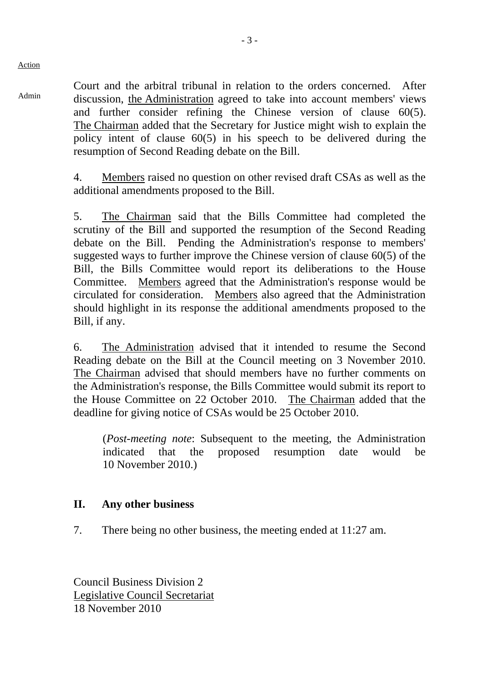Action

Admin

Court and the arbitral tribunal in relation to the orders concerned. After discussion, the Administration agreed to take into account members' views and further consider refining the Chinese version of clause 60(5). The Chairman added that the Secretary for Justice might wish to explain the policy intent of clause 60(5) in his speech to be delivered during the resumption of Second Reading debate on the Bill.

4. Members raised no question on other revised draft CSAs as well as the additional amendments proposed to the Bill.

5. The Chairman said that the Bills Committee had completed the scrutiny of the Bill and supported the resumption of the Second Reading debate on the Bill. Pending the Administration's response to members' suggested ways to further improve the Chinese version of clause 60(5) of the Bill, the Bills Committee would report its deliberations to the House Committee. Members agreed that the Administration's response would be circulated for consideration. Members also agreed that the Administration should highlight in its response the additional amendments proposed to the Bill, if any.

6. The Administration advised that it intended to resume the Second Reading debate on the Bill at the Council meeting on 3 November 2010. The Chairman advised that should members have no further comments on the Administration's response, the Bills Committee would submit its report to the House Committee on 22 October 2010. The Chairman added that the deadline for giving notice of CSAs would be 25 October 2010.

(*Post-meeting note*: Subsequent to the meeting, the Administration indicated that the proposed resumption date would be 10 November 2010.)

#### **II. Any other business**

7. There being no other business, the meeting ended at 11:27 am.

Council Business Division 2 Legislative Council Secretariat 18 November 2010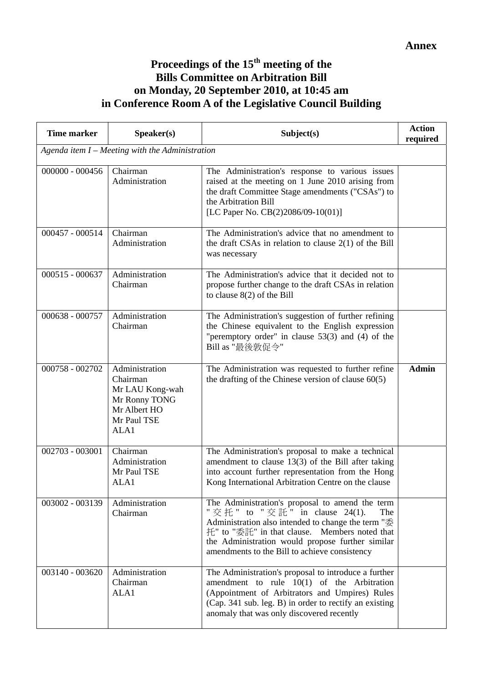### **Proceedings of the 15th meeting of the Bills Committee on Arbitration Bill on Monday, 20 September 2010, at 10:45 am in Conference Room A of the Legislative Council Building**

| <b>Time marker</b>                                | Speaker(s)                                                                                            | Subject(s)                                                                                                                                                                                                                                                                                                | <b>Action</b><br>required |  |  |  |  |
|---------------------------------------------------|-------------------------------------------------------------------------------------------------------|-----------------------------------------------------------------------------------------------------------------------------------------------------------------------------------------------------------------------------------------------------------------------------------------------------------|---------------------------|--|--|--|--|
| Agenda item $I$ – Meeting with the Administration |                                                                                                       |                                                                                                                                                                                                                                                                                                           |                           |  |  |  |  |
| $000000 - 000456$                                 | Chairman<br>Administration                                                                            | The Administration's response to various issues<br>raised at the meeting on 1 June 2010 arising from<br>the draft Committee Stage amendments ("CSAs") to<br>the Arbitration Bill<br>[LC Paper No. CB(2)2086/09-10(01)]                                                                                    |                           |  |  |  |  |
| $000457 - 000514$                                 | Chairman<br>Administration                                                                            | The Administration's advice that no amendment to<br>the draft CSAs in relation to clause $2(1)$ of the Bill<br>was necessary                                                                                                                                                                              |                           |  |  |  |  |
| 000515 - 000637                                   | Administration<br>Chairman                                                                            | The Administration's advice that it decided not to<br>propose further change to the draft CSAs in relation<br>to clause $8(2)$ of the Bill                                                                                                                                                                |                           |  |  |  |  |
| 000638 - 000757                                   | Administration<br>Chairman                                                                            | The Administration's suggestion of further refining<br>the Chinese equivalent to the English expression<br>"peremptory order" in clause $53(3)$ and (4) of the<br>Bill as "最後敦促令"                                                                                                                         |                           |  |  |  |  |
| 000758 - 002702                                   | Administration<br>Chairman<br>Mr LAU Kong-wah<br>Mr Ronny TONG<br>Mr Albert HO<br>Mr Paul TSE<br>ALA1 | The Administration was requested to further refine<br>the drafting of the Chinese version of clause $60(5)$                                                                                                                                                                                               | <b>Admin</b>              |  |  |  |  |
| 002703 - 003001                                   | Chairman<br>Administration<br>Mr Paul TSE<br>ALA1                                                     | The Administration's proposal to make a technical<br>amendment to clause $13(3)$ of the Bill after taking<br>into account further representation from the Hong<br>Kong International Arbitration Centre on the clause                                                                                     |                           |  |  |  |  |
| 003002 - 003139                                   | Administration<br>Chairman                                                                            | The Administration's proposal to amend the term<br>" 交 托 " to " 交 託 " in clause 24(1).<br>The<br>Administration also intended to change the term "委<br>托" to "委託" in that clause. Members noted that<br>the Administration would propose further similar<br>amendments to the Bill to achieve consistency |                           |  |  |  |  |
| 003140 - 003620                                   | Administration<br>Chairman<br>ALA1                                                                    | The Administration's proposal to introduce a further<br>amendment to rule $10(1)$ of the Arbitration<br>(Appointment of Arbitrators and Umpires) Rules<br>(Cap. 341 sub. leg. B) in order to rectify an existing<br>anomaly that was only discovered recently                                             |                           |  |  |  |  |